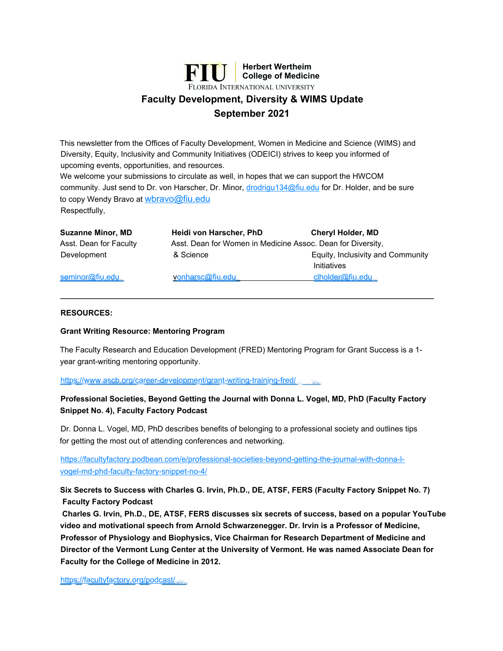

# **September 2021**

This newsletter from the Offices of Faculty Development, Women in Medicine and Science (WIMS) and Diversity, Equity, Inclusivity and Community Initiatives (ODEICI) strives to keep you informed of upcoming events, opportunities, and resources.

We welcome your submissions to circulate as well, in hopes that we can support the HWCOM community. Just send to Dr. von Harscher, Dr. Minor, [drodrigu134@fiu.edu](mailto:drodrigu134@fiu.edu) for Dr. Holder, and be sure to copy Wendy Bravo at [wbravo@fiu.edu](mailto:wbravo@fiu.edu) Respectfully,

| <b>Suzanne Minor, MD</b> | Heidi von Harscher, PhD                                     | <b>Cheryl Holder, MD</b>                         |
|--------------------------|-------------------------------------------------------------|--------------------------------------------------|
| Asst. Dean for Faculty   | Asst. Dean for Women in Medicine Assoc. Dean for Diversity, |                                                  |
| Development              | & Science                                                   | Equity, Inclusivity and Community<br>Initiatives |
| seminor@fiu.edu          | vonharsc@fiu.edu                                            | clholder@fiu.edu                                 |

#### **RESOURCES:**

### **Grant Writing Resource: Mentoring Program**

The Faculty Research and Education Development (FRED) Mentoring Program for Grant Success is a 1 year grant-writing mentoring opportunity.

<https://www.ascb.org/career-development/grant-writing-training-fred/>

## **Professional Societies, Beyond Getting the Journal with Donna L. Vogel, MD, PhD (Faculty Factory Snippet No. 4), Faculty Factory Podcast**

Dr. Donna L. Vogel, MD, PhD describes benefits of belonging to a professional society and outlines tips for getting the most out of attending conferences and networking.

[https://facultyfactory.podbean.com/e/professional-societies-beyond-getting-the-journal-with-donna-l](https://facultyfactory.podbean.com/e/professional-societies-beyond-getting-the-journal-with-donna-l-vogel-md-phd-faculty-factory-snippet-no-4/)vogel-md-phd-faculty-factory-snippet-no-4/

**Six Secrets to Success with Charles G. Irvin, Ph.D., DE, ATSF, FERS (Faculty Factory Snippet No. 7) Faculty Factory Podcast**

**Charles G. Irvin, Ph.D., DE, ATSF, FERS discusses six secrets of success, based on a popular YouTube video and motivational speech from Arnold Schwarzenegger. Dr. Irvin is a Professor of Medicine, Professor of Physiology and Biophysics, Vice Chairman for Research Department of Medicine and Director of the Vermont Lung Center at the University of Vermont. He was named Associate Dean for Faculty for the College of Medicine in 2012.**

<https://facultyfactory.org/podcast/>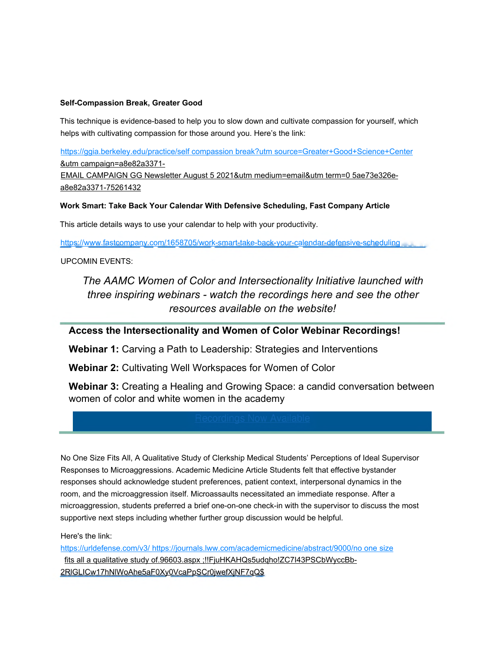## **Self-Compassion Break, Greater Good**

This technique is evidence-based to help you to slow down and cultivate compassion for yourself, which helps with cultivating compassion for those around you. Here's the link:

[https://ggia.berkeley.edu/practice/self compassion break?utm source=Greater+Good+Science+Center](https://ggia.berkeley.edu/practice/self_compassion_break?utm_source=Greater+Good+Science+Center) &utm campaign=a8e82a3371- EMAIL CAMPAIGN GG Newsletter August 5 2021&utm medium=email&utm term=0 5ae73e326ea8e82a3371-75261432

### **Work Smart: Take Back Your Calendar With Defensive Scheduling, Fast Company Article**

This article details ways to use your calendar to help with your productivity.

<https://www.fastcompany.com/1658705/work-smart-take-back-your-calendar-defensive-scheduling>

#### UPCOMIN EVENTS:

*The AAMC Women of Color and Intersectionality Initiative launched with three inspiring webinars - watch the recordings here and see the other resources available on the website!*

# **Access the Intersectionality and Women of Color Webinar Recordings!**

**Webinar 1:** Carving a Path to Leadership: Strategies and Interventions

**Webinar 2:** Cultivating Well Workspaces for Women of Color

**Webinar 3:** Creating a Healing and Growing Space: a candid conversation between women of color and white women in the academy

No One Size Fits All, A Qualitative Study of Clerkship Medical Students' Perceptions of Ideal Supervisor Responses to Microaggressions. Academic Medicine Article Students felt that effective bystander responses should acknowledge student preferences, patient context, interpersonal dynamics in the room, and the microaggression itself. Microassaults necessitated an immediate response. After a microaggression, students preferred a brief one-on-one check-in with the supervisor to discuss the most supportive next steps including whether further group discussion would be helpful.

Here's the link:

[https://urldefense.com/v3/ https://journals.lww.com/academicmedicine/abstract/9000/no one size](https://urldefense.com/v3/_https://journals.lww.com/academicmedicine/abstract/9000/no_one_size) fits all a qualitative study of.96603.aspx ;!!FjuHKAHQs5udqho!ZC7I43PSCbWyccBb-2RlGLICw17hNlWoAhe5aF0Xy0VcaPpSCr0jwefXjNF7qQ\$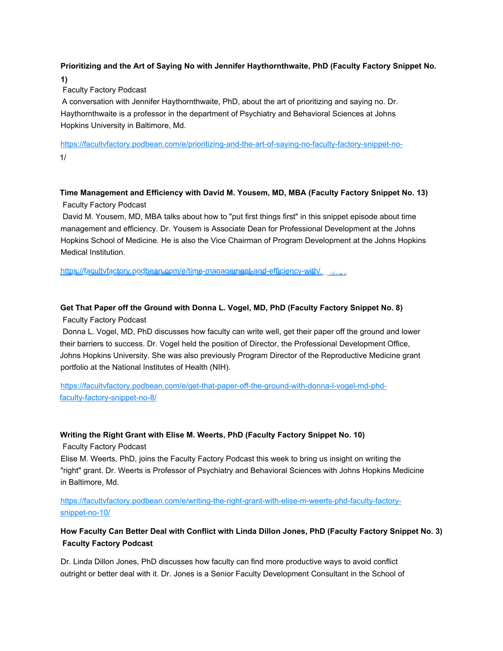# **Prioritizing and the Art of Saying No with Jennifer Haythornthwaite, PhD (Faculty Factory Snippet No.**

### **1)**

## Faculty Factory Podcast

A conversation with Jennifer Haythornthwaite, PhD, about the art of prioritizing and saying no. Dr. Haythornthwaite is a professor in the department of Psychiatry and Behavioral Sciences at Johns Hopkins University in Baltimore, Md.

<https://facultvfactory.podbean.com/e/prioritizing-and-the-art-of-saying-no-faculty-factory-snippet-no->1/

# **Time Management and Efficiency with David M. Yousem, MD, MBA (Faculty Factory Snippet No. 13)** Faculty Factory Podcast

David M. Yousem, MD, MBA talks about how to "put first things first" in this snippet episode about time management and efficiency. Dr. Yousem is Associate Dean for Professional Development at the Johns Hopkins School of Medicine. He is also the Vice Chairman of Program Development at the Johns Hopkins Medical Institution.

<https://facultvfactory.podbean.com/e/time-management-and-efficiency-with/>

## **Get That Paper off the Ground with Donna L. Vogel, MD, PhD (Faculty Factory Snippet No. 8)**

### Faculty Factory Podcast

Donna L. Vogel, MD, PhD discusses how faculty can write well, get their paper off the ground and lower their barriers to success. Dr. Vogel held the position of Director, the Professional Development Office, Johns Hopkins University. She was also previously Program Director of the Reproductive Medicine grant portfolio at the National Institutes of Health (NIH).

[https://facultvfactory.podbean.com/e/get-that-paper-off-the-ground-with-donna-l-vogel-md-phd](https://facultvfactory.podbean.com/e/get-that-paper-off-the-ground-with-donna-l-vogel-md-phd-faculty-factory-snippet-no-8/)faculty-factory-snippet-no-8/

### **Writing the Right Grant with Elise M. Weerts, PhD (Faculty Factory Snippet No. 10)**

Faculty Factory Podcast

Elise M. Weerts, PhD, joins the Faculty Factory Podcast this week to bring us insight on writing the "right" grant. Dr. Weerts is Professor of Psychiatry and Behavioral Sciences with Johns Hopkins Medicine in Baltimore, Md.

[https://facultvfactory.podbean.com/e/writing-the-right-grant-with-elise-m-weerts-phd-faculty-factory](https://facultvfactory.podbean.com/e/writing-the-right-grant-with-elise-m-weerts-phd-faculty-factory-snippet-no-10/)snippet-no-10/

## **How Faculty Can Better Deal with Conflict with Linda Dillon Jones, PhD (Faculty Factory Snippet No. 3) Faculty Factory Podcast**

Dr. Linda Dillon Jones, PhD discusses how faculty can find more productive ways to avoid conflict outright or better deal with it. Dr. Jones is a Senior Faculty Development Consultant in the School of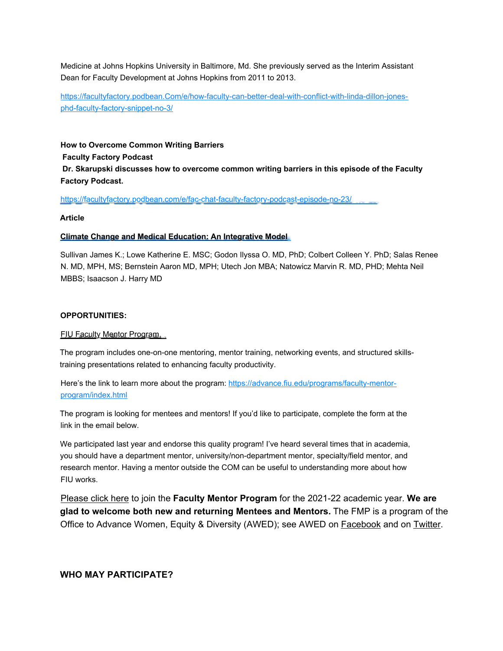Medicine at Johns Hopkins University in Baltimore, Md. She previously served as the Interim Assistant Dean for Faculty Development at Johns Hopkins from 2011 to 2013.

[https://facultyfactory.podbean.Com/e/how-faculty-can-better-deal-with-conflict-with-linda-dillon-jones](https://facultyfactory.podbean.Com/e/how-faculty-can-better-deal-with-conflict-with-linda-dillon-jones-phd-faculty-factory-snippet-no-3/)phd-faculty-factory-snippet-no-3/

**How to Overcome Common Writing Barriers Faculty Factory Podcast Dr. Skarupski discusses how to overcome common writing barriers in this episode of the Faculty Factory Podcast.**

<https://facultyfactory.podbean.com/e/fac-chat-faculty-factory-podcast-episode-no-23/>

#### **Article**

#### **Climate Change and Medical Education: An Integrative Model**

Sullivan James K.; Lowe Katherine E. MSC; Godon Ilyssa O. MD, PhD; Colbert Colleen Y. PhD; Salas Renee N. MD, MPH, MS; Bernstein Aaron MD, MPH; Utech Jon MBA; Natowicz Marvin R. MD, PHD; Mehta Neil MBBS; Isaacson J. Harry MD

#### **OPPORTUNITIES:**

#### FIU Faculty Mentor Program.

The program includes one-on-one mentoring, mentor training, networking events, and structured skillstraining presentations related to enhancing faculty productivity.

[Here's the link to learn more about the program: https://advance.fiu.edu/programs/faculty-mentor](https://advance.fiu.edu/programs/faculty-mentor-program/index.html)program/index.html

The program is looking for mentees and mentors! If you'd like to participate, complete the form at the link in the email below.

We participated last year and endorse this quality program! I've heard several times that in academia, you should have a department mentor, university/non-department mentor, specialty/field mentor, and research mentor. Having a mentor outside the COM can be useful to understanding more about how FIU works.

Please click here to join the **Faculty Mentor Program** for the 2021-22 academic year. **We are glad to welcome both new and returning Mentees and Mentors.** The FMP is a program of the Office to Advance Women, Equity & Diversity (AWED); see AWED on Facebook and on Twitter.

## **WHO MAY PARTICIPATE?**